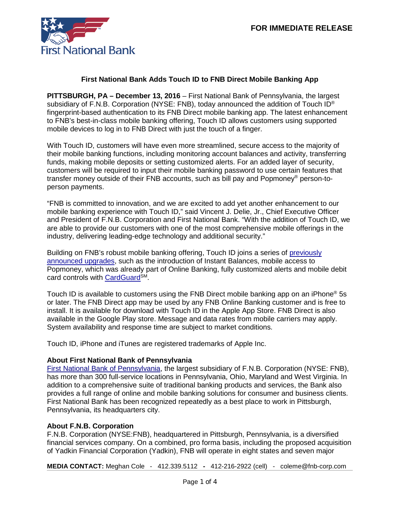

## **First National Bank Adds Touch ID to FNB Direct Mobile Banking App**

**PITTSBURGH, PA – December 13, 2016** – First National Bank of Pennsylvania, the largest subsidiary of F.N.B. Corporation (NYSE: FNB), today announced the addition of Touch ID<sup>®</sup> fingerprint-based authentication to its FNB Direct mobile banking app. The latest enhancement to FNB's best-in-class mobile banking offering, Touch ID allows customers using supported mobile devices to log in to FNB Direct with just the touch of a finger.

With Touch ID, customers will have even more streamlined, secure access to the majority of their mobile banking functions, including monitoring account balances and activity, transferring funds, making mobile deposits or setting customized alerts. For an added layer of security, customers will be required to input their mobile banking password to use certain features that transfer money outside of their FNB accounts, such as bill pay and Popmoney® person-toperson payments.

"FNB is committed to innovation, and we are excited to add yet another enhancement to our mobile banking experience with Touch ID," said Vincent J. Delie, Jr., Chief Executive Officer and President of F.N.B. Corporation and First National Bank. "With the addition of Touch ID, we are able to provide our customers with one of the most comprehensive mobile offerings in the industry, delivering leading-edge technology and additional security."

Building on FNB's robust mobile banking offering, Touch ID joins a series of [previously](https://www.fnb-online.com/about-us/news/2016/01/19/13/06/fnb%20tech%20enhancements%20retail%20delivery%20011916)  [announced upgrades,](https://www.fnb-online.com/about-us/news/2016/01/19/13/06/fnb%20tech%20enhancements%20retail%20delivery%20011916) such as the introduction of Instant Balances, mobile access to Popmoney, which was already part of Online Banking, fully customized alerts and mobile debit card controls with CardGuard<sup>SM</sup>.

Touch ID is available to customers using the FNB Direct mobile banking app on an iPhone<sup>®</sup> 5s or later. The FNB Direct app may be used by any FNB Online Banking customer and is free to install. It is available for download with Touch ID in the Apple App Store. FNB Direct is also available in the Google Play store. Message and data rates from mobile carriers may apply. System availability and response time are subject to market conditions.

Touch ID, iPhone and iTunes are registered trademarks of Apple Inc.

## **About First National Bank of Pennsylvania**

[First National Bank of Pennsylvania,](https://www.fnb-online.com/) the largest subsidiary of F.N.B. Corporation (NYSE: FNB), has more than 300 full-service locations in Pennsylvania, Ohio, Maryland and West Virginia. In addition to a comprehensive suite of traditional banking products and services, the Bank also provides a full range of online and mobile banking solutions for consumer and business clients. First National Bank has been recognized repeatedly as a best place to work in Pittsburgh, Pennsylvania, its headquarters city.

## **About F.N.B. Corporation**

F.N.B. Corporation (NYSE:FNB), headquartered in Pittsburgh, Pennsylvania, is a diversified financial services company. On a combined, pro forma basis, including the proposed acquisition of Yadkin Financial Corporation (Yadkin), FNB will operate in eight states and seven major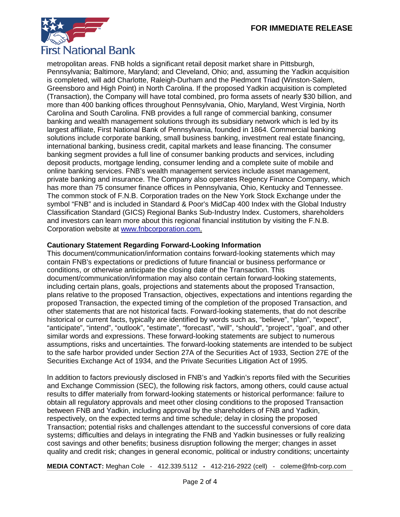

metropolitan areas. FNB holds a significant retail deposit market share in Pittsburgh, Pennsylvania; Baltimore, Maryland; and Cleveland, Ohio; and, assuming the Yadkin acquisition is completed, will add Charlotte, Raleigh-Durham and the Piedmont Triad (Winston-Salem, Greensboro and High Point) in North Carolina. If the proposed Yadkin acquisition is completed (Transaction), the Company will have total combined, pro forma assets of nearly \$30 billion, and more than 400 banking offices throughout Pennsylvania, Ohio, Maryland, West Virginia, North Carolina and South Carolina. FNB provides a full range of commercial banking, consumer banking and wealth management solutions through its subsidiary network which is led by its largest affiliate, First National Bank of Pennsylvania, founded in 1864. Commercial banking solutions include corporate banking, small business banking, investment real estate financing, international banking, business credit, capital markets and lease financing. The consumer banking segment provides a full line of consumer banking products and services, including deposit products, mortgage lending, consumer lending and a complete suite of mobile and online banking services. FNB's wealth management services include asset management, private banking and insurance. The Company also operates Regency Finance Company, which has more than 75 consumer finance offices in Pennsylvania, Ohio, Kentucky and Tennessee. The common stock of F.N.B. Corporation trades on the New York Stock Exchange under the symbol "FNB" and is included in Standard & Poor's MidCap 400 Index with the Global Industry Classification Standard (GICS) Regional Banks Sub-Industry Index. Customers, shareholders and investors can learn more about this regional financial institution by visiting the F.N.B. Corporation website at [www.fnbcorporation.com.](http://www.fnb-online.com/)

## **Cautionary Statement Regarding Forward-Looking Information**

This document/communication/information contains forward-looking statements which may contain FNB's expectations or predictions of future financial or business performance or conditions, or otherwise anticipate the closing date of the Transaction. This document/communication/information may also contain certain forward-looking statements, including certain plans, goals, projections and statements about the proposed Transaction, plans relative to the proposed Transaction, objectives, expectations and intentions regarding the proposed Transaction, the expected timing of the completion of the proposed Transaction, and other statements that are not historical facts. Forward-looking statements, that do not describe historical or current facts, typically are identified by words such as, "believe", "plan", "expect", "anticipate", "intend", "outlook", "estimate", "forecast", "will", "should", "project", "goal", and other similar words and expressions. These forward-looking statements are subject to numerous assumptions, risks and uncertainties. The forward-looking statements are intended to be subject to the safe harbor provided under Section 27A of the Securities Act of 1933, Section 27E of the Securities Exchange Act of 1934, and the Private Securities Litigation Act of 1995.

In addition to factors previously disclosed in FNB's and Yadkin's reports filed with the Securities and Exchange Commission (SEC), the following risk factors, among others, could cause actual results to differ materially from forward-looking statements or historical performance: failure to obtain all regulatory approvals and meet other closing conditions to the proposed Transaction between FNB and Yadkin, including approval by the shareholders of FNB and Yadkin, respectively, on the expected terms and time schedule; delay in closing the proposed Transaction; potential risks and challenges attendant to the successful conversions of core data systems; difficulties and delays in integrating the FNB and Yadkin businesses or fully realizing cost savings and other benefits; business disruption following the merger; changes in asset quality and credit risk; changes in general economic, political or industry conditions; uncertainty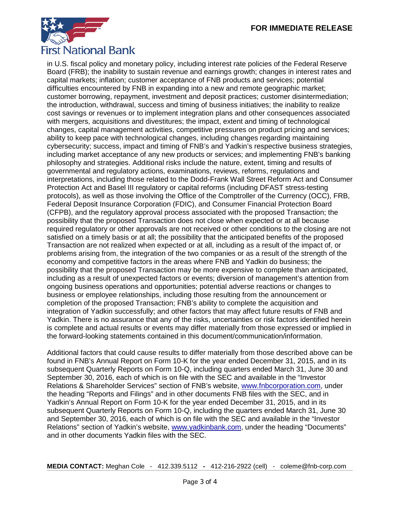

in U.S. fiscal policy and monetary policy, including interest rate policies of the Federal Reserve Board (FRB); the inability to sustain revenue and earnings growth; changes in interest rates and capital markets; inflation; customer acceptance of FNB products and services; potential difficulties encountered by FNB in expanding into a new and remote geographic market; customer borrowing, repayment, investment and deposit practices; customer disintermediation; the introduction, withdrawal, success and timing of business initiatives; the inability to realize cost savings or revenues or to implement integration plans and other consequences associated with mergers, acquisitions and divestitures; the impact, extent and timing of technological changes, capital management activities, competitive pressures on product pricing and services; ability to keep pace with technological changes, including changes regarding maintaining cybersecurity; success, impact and timing of FNB's and Yadkin's respective business strategies, including market acceptance of any new products or services; and implementing FNB's banking philosophy and strategies. Additional risks include the nature, extent, timing and results of governmental and regulatory actions, examinations, reviews, reforms, regulations and interpretations, including those related to the Dodd-Frank Wall Street Reform Act and Consumer Protection Act and Basel III regulatory or capital reforms (including DFAST stress-testing protocols), as well as those involving the Office of the Comptroller of the Currency (OCC), FRB, Federal Deposit Insurance Corporation (FDIC), and Consumer Financial Protection Board (CFPB), and the regulatory approval process associated with the proposed Transaction; the possibility that the proposed Transaction does not close when expected or at all because required regulatory or other approvals are not received or other conditions to the closing are not satisfied on a timely basis or at all; the possibility that the anticipated benefits of the proposed Transaction are not realized when expected or at all, including as a result of the impact of, or problems arising from, the integration of the two companies or as a result of the strength of the economy and competitive factors in the areas where FNB and Yadkin do business; the possibility that the proposed Transaction may be more expensive to complete than anticipated, including as a result of unexpected factors or events; diversion of management's attention from ongoing business operations and opportunities; potential adverse reactions or changes to business or employee relationships, including those resulting from the announcement or completion of the proposed Transaction; FNB's ability to complete the acquisition and integration of Yadkin successfully; and other factors that may affect future results of FNB and Yadkin. There is no assurance that any of the risks, uncertainties or risk factors identified herein is complete and actual results or events may differ materially from those expressed or implied in the forward-looking statements contained in this document/communication/information.

Additional factors that could cause results to differ materially from those described above can be found in FNB's Annual Report on Form 10-K for the year ended December 31, 2015, and in its subsequent Quarterly Reports on Form 10-Q, including quarters ended March 31, June 30 and September 30, 2016, each of which is on file with the SEC and available in the "Investor Relations & Shareholder Services" section of FNB's website, [www.fnbcorporation.com,](http://www.fnb-online.com/) under the heading "Reports and Filings" and in other documents FNB files with the SEC, and in Yadkin's Annual Report on Form 10-K for the year ended December 31, 2015, and in its subsequent Quarterly Reports on Form 10-Q, including the quarters ended March 31, June 30 and September 30, 2016, each of which is on file with the SEC and available in the "Investor Relations" section of Yadkin's website, [www.yadkinbank.com,](http://www.yadkinbank.com/) under the heading "Documents" and in other documents Yadkin files with the SEC.